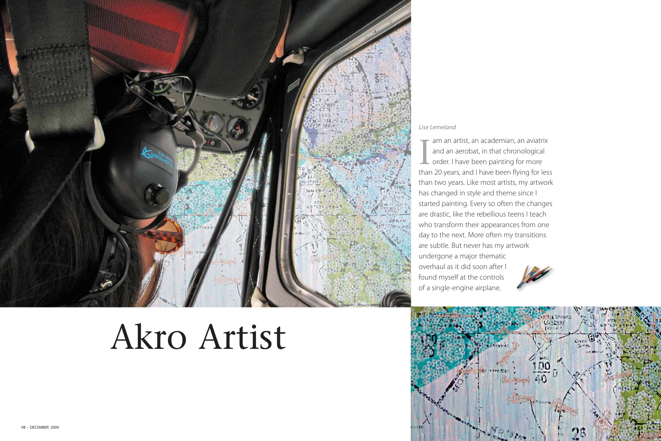

# Akro Artist

### Lise Lemeland

am an artist, an academian, an aviatrix and an aerobat, in that chronological Lorder. I have been painting for more than 20 years, and I have been flying for less than two years. Like most artists, my artwork has changed in style and theme since I started painting. Every so often the changes are drastic, like the rebellious teens I teach who transform their appearances from one day to the next. More often my transitions are subtle. But never has my artwork undergone a major thematic overhaul as it did soon after I found myself at the controls of a single-engine airplane.





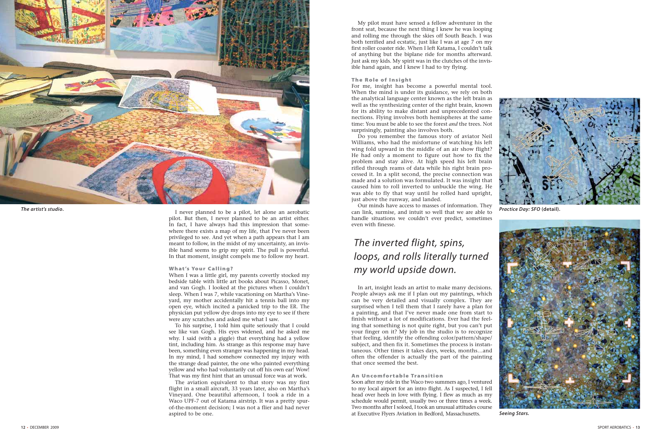

I never planned to be a pilot, let alone an aerobatic pilot. But then, I never planned to be an artist either. In fact, I have always had this impression that somewhere there exists a map of my life, that I've never been privileged to see. And yet when a path appears that I am meant to follow, in the midst of my uncertainty, an invisible hand seems to grip my spirit. The pull is powerful. In that moment, insight compels me to follow my heart.

### What's Your Calling?

When I was a little girl, my parents covertly stocked my bedside table with little art books about Picasso, Monet, and van Gogh. I looked at the pictures when I couldn't sleep. When I was 7, while vacationing on Martha's Vineyard, my mother accidentally hit a tennis ball into my open eye, which incited a panicked trip to the ER. The physician put yellow dye drops into my eye to see if there were any scratches and asked me what I saw.

To his surprise, I told him quite seriously that I could see like van Gogh. His eyes widened, and he asked me why. I said (with a giggle) that everything had a yellow tint, including him. As strange as this response may have been, something even stranger was happening in my head. In my mind, I had somehow connected my injury with the strange dead painter, the one who painted everything yellow and who had voluntarily cut off his own ear! Wow! That was my first hint that an unusual force was at work.

The aviation equivalent to that story was my first flight in a small aircraft, 33 years later, also on Martha's Vineyard. One beautiful afternoon, I took a ride in a Waco UPF-7 out of Katama airstrip. It was a pretty spurof-the-moment decision; I was not a flier and had never aspired to be one.

My pilot must have sensed a fellow adventurer in the front seat, because the next thing I knew he was looping and rolling me through the skies off South Beach. I was both terrified and ecstatic, just like I was at age 7 on my first roller coaster ride. When I left Katama, I couldn't talk of anything but the biplane ride for months afterward. Just ask my kids. My spirit was in the clutches of the invisible hand again, and I knew I had to try flying.

#### The Role of Insight

For me, insight has become a powerful mental tool. When the mind is under its guidance, we rely on both the analytical language center known as the left brain as well as the synthesizing center of the right brain, known for its ability to make distant and unprecedented connections. Flying involves both hemispheres at the same time: You must be able to see the forest *and* the trees. Not surprisingly, painting also involves both.

Do you remember the famous story of aviator Neil Williams, who had the misfortune of watching his left wing fold upward in the middle of an air show flight? He had only a moment to figure out how to fix the problem and stay alive. At high speed his left brain rifled through reams of data while his right brain processed it. In a split second, the precise connection was made and a solution was formulated. It was insight that caused him to roll inverted to unbuckle the wing. He was able to fly that way until he rolled hard upright, just above the runway, and landed.

Our minds have access to masses of information. They The artist's studio. **The artist's studio.** I never planned to be a pilot, let alone an aerobatic can link, surmise, and intuit so well that we are able to **Practice Day:** SFO (detail). handle situations we couldn't ever predict, sometimes even with finesse.

> In art, insight leads an artist to make many decisions. People always ask me if I plan out my paintings, which can be very detailed and visually complex. They are surprised when I tell them that I rarely have a plan for a painting, and that I've never made one from start to finish without a lot of modifications. Ever had the feeling that something is not quite right, but you can't put your finger on it? My job in the studio is to recognize that feeling, identify the offending color/pattern/shape/ subject, and then fix it. Sometimes the process is instantaneous. Other times it takes days, weeks, months…and often the offender is actually the part of the painting that once seemed the best.

#### An Uncomfor table Transition

Soon after my ride in the Waco two summers ago, I ventured to my local airport for an intro flight. As I suspected, I fell head over heels in love with flying. I flew as much as my schedule would permit, usually two or three times a week. Two months after I soloed, I took an unusual attitudes course at Executive Flyers Aviation in Bedford, Massachusetts.



The inverted flight, spins, loops, and rolls literally turned my world upside down.



**Seeing Stars.**

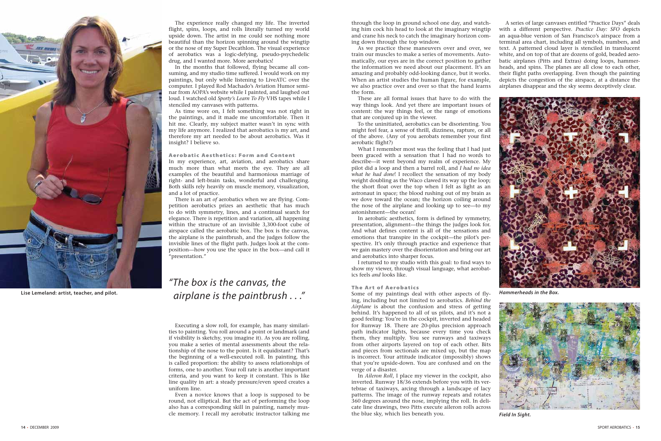The experience really changed my life. The inverted flight, spins, loops, and rolls literally turned my world upside down. The artist in me could see nothing more beautiful than the horizon spinning around the wingtip or the nose of my Super Decathlon. The visual experience of aerobatics was a logic-defying, pseudo-psychedelic drug, and I wanted more. More aerobatics!

In the months that followed, flying became all consuming, and my studio time suffered. I would work on my paintings, but only while listening to LiveATC over the computer. I played Rod Machado's Aviation Humor seminar from AOPA's website while I painted, and laughed out loud. I watched old *Sporty's Learn To Fly* VHS tapes while I stenciled my canvases with patterns.

As time wore on, I felt something was not right in the paintings, and it made me uncomfortable. Then it hit me. Clearly, my subject matter wasn't in sync with my life anymore. I realized that aerobatics is my art, and therefore my art needed to be about aerobatics. Was it insight? I believe so.

### Aerobatic Aesthetics: Form and Content

In my experience, art, aviation, and aerobatics share much more than what meets the eye. They are all examples of the beautiful and harmonious marriage of right- and left-brain tasks, wonderful and challenging. Both skills rely heavily on muscle memory, visualization, and a lot of practice.

There is an art *of* aerobatics when we are flying. Competition aerobatics prizes an aesthetic that has much to do with symmetry, lines, and a continual search for elegance. There is repetition and variation, all happening within the structure of an invisible 3,300-foot cube of airspace called the aerobatic box. The box is the canvas, the airplane is the paintbrush, and the judges follow the invisible lines of the flight path. Judges look at the composition—how you use the space in the box—and call it "presentation."

Executing a slow roll, for example, has many similarities to painting. You roll around a point or landmark (and if visibility is sketchy, you imagine it). As you are rolling, you make a series of mental assessments about the relationship of the nose to the point. Is it equidistant? That's the beginning of a well-executed roll. In painting, this is called proportion: the ability to assess relationships of forms, one to another. Your roll rate is another important criteria, and you want to keep it constant. This is like line quality in art: a steady pressure/even speed creates a uniform line.

Even a novice knows that a loop is supposed to be round, not elliptical. But the act of performing the loop also has a corresponding skill in painting, namely muscle memory. I recall my aerobatic instructor talking me through the loop in ground school one day, and watching him cock his head to look at the imaginary wingtip and crane his neck to catch the imaginary horizon coming down through the top window.

### "The box is the canvas, the  $a$ **irplane is the paintbrush ...**" Some of my paintings deal with other aspects of fly-<br>**Hammerheads** in the Box.

As we practice these maneuvers over and over, we train our muscles to make a series of movements. Automatically, our eyes are in the correct position to gather the information we need about our placement. It's an amazing and probably odd-looking dance, but it works. When an artist studies the human figure, for example, we also practice over and over so that the hand learns the form.

These are all formal issues that have to do with the way things look. And yet there are important issues of content: the way things feel, or the range of emotions that are conjured up in the viewer.

To the uninitiated, aerobatics can be disorienting. You might feel fear, a sense of thrill, dizziness, rapture, or all of the above. (Any of you aerobats remember your first aerobatic flight?)

What I remember most was the feeling that I had just been graced with a sensation that I had no words to describe—it went beyond my realm of experience. My pilot did a loop and then a barrel roll, and *I had no idea what he had done*! I recollect the sensation of my body weight doubling as the Waco clawed its way up the loop; the short float over the top when I felt as light as an astronaut in space; the blood rushing out of my brain as we dove toward the ocean; the horizon coiling around the nose of the airplane and looking up to see—to my astonishment—the ocean!

In aerobatic aesthetics, form is defined by symmetry, presentation, alignment—the things the judges look for. And what defines content is all of the sensations and emotions that transpire in the cockpit—the pilot's perspective. It's only through practice and experience that we gain mastery over the disorientation and bring our art and aerobatics into sharper focus.

I returned to my studio with this goal: to find ways to show my viewer, through visual language, what aerobatics feels *and* looks like.

### The Art of Aerobatics

Some of my paintings deal with other aspects of flying, including but not limited to aerobatics. *Behind the Airplane* is about the confusion and stress of getting behind. It's happened to all of us pilots, and it's not a good feeling: You're in the cockpit, inverted and headed for Runway 18. There are 20-plus precision approach path indicator lights, because every time you check them, they multiply. You see runways and taxiways from other airports layered on top of each other. Bits and pieces from sectionals are mixed up, but the map is incorrect. Your attitude indicator (impossibly) shows that you're upside-down. You are confused and on the verge of a disaster.

In *Aileron Roll*, I place my viewer in the cockpit, also inverted. Runway 18/36 extends before you with its vertebrae of taxiways, arcing through a landscape of lacy patterns. The image of the runway repeats and rotates 360 degrees around the nose, implying the roll. In delicate line drawings, two Pitts execute aileron rolls across the blue sky, which lies beneath you.



**Lise Lemeland: artist, teacher, and pilot.**



**Field In Sight.**

A series of large canvases entitled "Practice Days" deals with a different perspective. *Practice Day: SFO* depicts an aqua-blue version of San Francisco's airspace from a terminal area chart, including all symbols, numbers, and text. A patterned cloud layer is stenciled in translucent white, and on top of that are dozens of gold, beaded aerobatic airplanes (Pitts and Extras) doing loops, hammerheads, and spins. The planes are all close to each other, their flight paths overlapping. Even though the painting depicts the congestion of the airspace, at a distance the airplanes disappear and the sky seems deceptively clear.